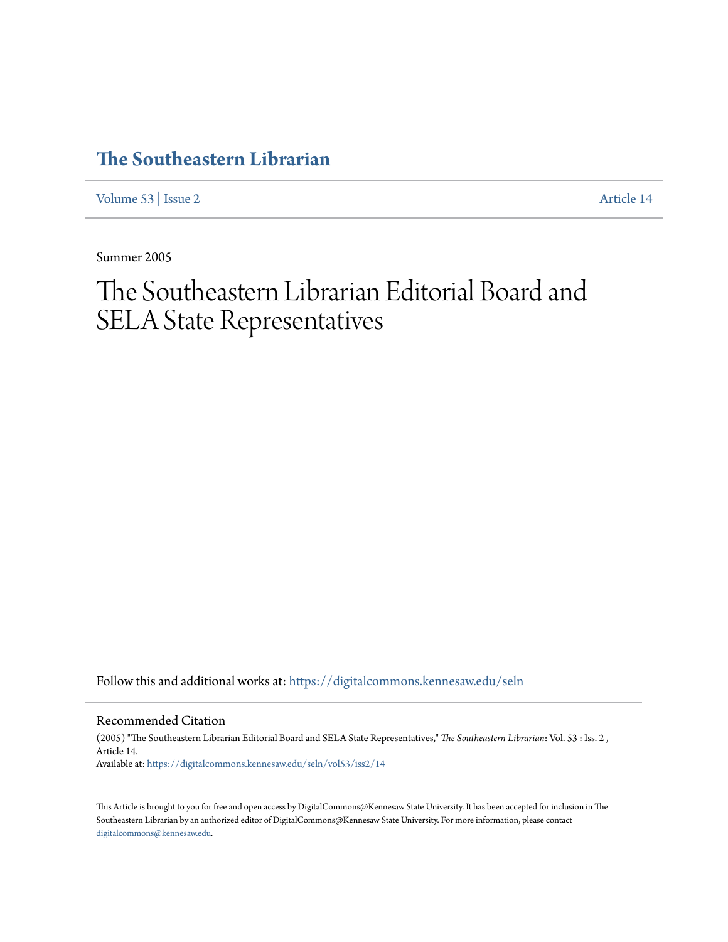## **[The Southeastern Librarian](https://digitalcommons.kennesaw.edu/seln?utm_source=digitalcommons.kennesaw.edu%2Fseln%2Fvol53%2Fiss2%2F14&utm_medium=PDF&utm_campaign=PDFCoverPages)**

[Volume 53](https://digitalcommons.kennesaw.edu/seln/vol53?utm_source=digitalcommons.kennesaw.edu%2Fseln%2Fvol53%2Fiss2%2F14&utm_medium=PDF&utm_campaign=PDFCoverPages) | [Issue 2](https://digitalcommons.kennesaw.edu/seln/vol53/iss2?utm_source=digitalcommons.kennesaw.edu%2Fseln%2Fvol53%2Fiss2%2F14&utm_medium=PDF&utm_campaign=PDFCoverPages) [Article 14](https://digitalcommons.kennesaw.edu/seln/vol53/iss2/14?utm_source=digitalcommons.kennesaw.edu%2Fseln%2Fvol53%2Fiss2%2F14&utm_medium=PDF&utm_campaign=PDFCoverPages)

Summer 2005

# The Southeastern Librarian Editorial Board and SELA State Representatives

Follow this and additional works at: [https://digitalcommons.kennesaw.edu/seln](https://digitalcommons.kennesaw.edu/seln?utm_source=digitalcommons.kennesaw.edu%2Fseln%2Fvol53%2Fiss2%2F14&utm_medium=PDF&utm_campaign=PDFCoverPages)

Recommended Citation

(2005) "The Southeastern Librarian Editorial Board and SELA State Representatives," *The Southeastern Librarian*: Vol. 53 : Iss. 2 , Article 14. Available at: [https://digitalcommons.kennesaw.edu/seln/vol53/iss2/14](https://digitalcommons.kennesaw.edu/seln/vol53/iss2/14?utm_source=digitalcommons.kennesaw.edu%2Fseln%2Fvol53%2Fiss2%2F14&utm_medium=PDF&utm_campaign=PDFCoverPages)

This Article is brought to you for free and open access by DigitalCommons@Kennesaw State University. It has been accepted for inclusion in The Southeastern Librarian by an authorized editor of DigitalCommons@Kennesaw State University. For more information, please contact [digitalcommons@kennesaw.edu.](mailto:digitalcommons@kennesaw.edu)